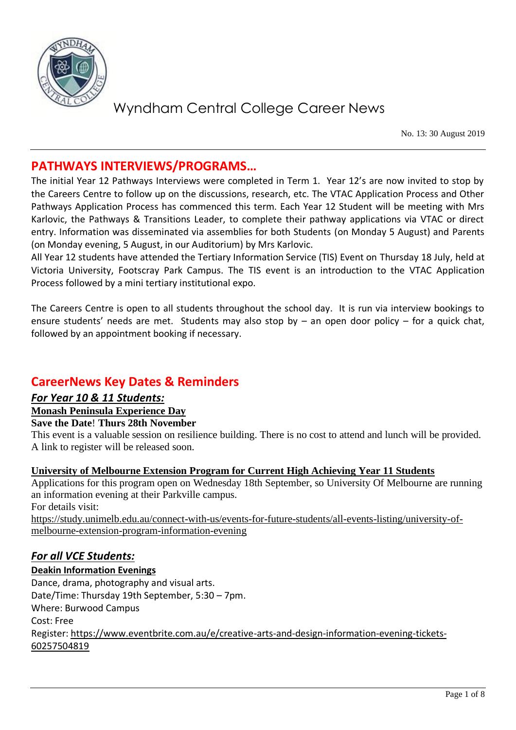

No. 13: 30 August 2019

## **PATHWAYS INTERVIEWS/PROGRAMS…**

The initial Year 12 Pathways Interviews were completed in Term 1. Year 12's are now invited to stop by the Careers Centre to follow up on the discussions, research, etc. The VTAC Application Process and Other Pathways Application Process has commenced this term. Each Year 12 Student will be meeting with Mrs Karlovic, the Pathways & Transitions Leader, to complete their pathway applications via VTAC or direct entry. Information was disseminated via assemblies for both Students (on Monday 5 August) and Parents (on Monday evening, 5 August, in our Auditorium) by Mrs Karlovic.

All Year 12 students have attended the Tertiary Information Service (TIS) Event on Thursday 18 July, held at Victoria University, Footscray Park Campus. The TIS event is an introduction to the VTAC Application Process followed by a mini tertiary institutional expo.

The Careers Centre is open to all students throughout the school day. It is run via interview bookings to ensure students' needs are met. Students may also stop by – an open door policy – for a quick chat, followed by an appointment booking if necessary.

## **CareerNews Key Dates & Reminders**

#### *For Year 10 & 11 Students:*

- **Monash Peninsula Experience Day**
- **Save the Date**! **Thurs 28th November**

This event is a valuable session on resilience building. There is no cost to attend and lunch will be provided. A link to register will be released soon.

#### **University of Melbourne Extension Program for Current High Achieving Year 11 Students**

Applications for this program open on Wednesday 18th September, so University Of Melbourne are running an information evening at their Parkville campus. For details visit:

[https://study.unimelb.edu.au/connect-with-us/events-for-future-students/all-events-listing/university-of](https://study.unimelb.edu.au/connect-with-us/events-for-future-students/all-events-listing/university-of-melbourne-extension-program-information-evening)[melbourne-extension-program-information-evening](https://study.unimelb.edu.au/connect-with-us/events-for-future-students/all-events-listing/university-of-melbourne-extension-program-information-evening)

### *For all VCE Students:*

#### **Deakin Information Evenings**

Dance, drama, photography and visual arts. Date/Time: Thursday 19th September, 5:30 – 7pm. Where: Burwood Campus Cost: Free Register[: https://www.eventbrite.com.au/e/creative-arts-and-design-information-evening-tickets-](https://www.eventbrite.com.au/e/creative-arts-and-design-information-evening-tickets-60257504819)[60257504819](https://www.eventbrite.com.au/e/creative-arts-and-design-information-evening-tickets-60257504819)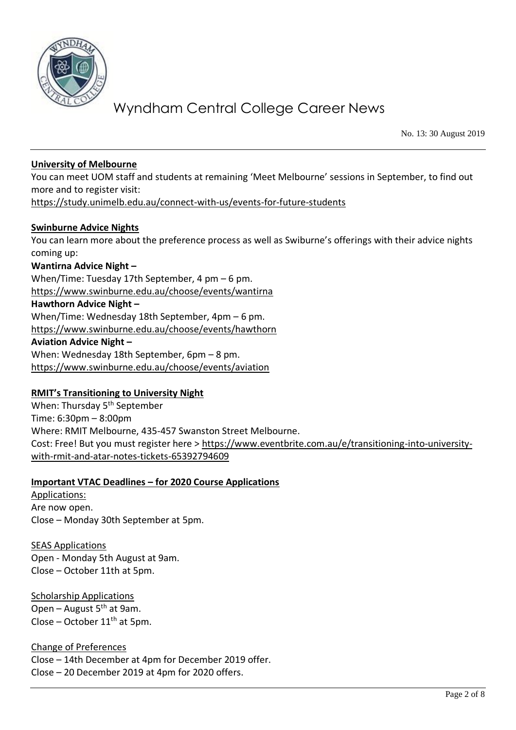

No. 13: 30 August 2019

#### **University of Melbourne**

You can meet UOM staff and students at remaining 'Meet Melbourne' sessions in September, to find out more and to register visit: <https://study.unimelb.edu.au/connect-with-us/events-for-future-students>

#### **Swinburne Advice Nights**

You can learn more about the preference process as well as Swiburne's offerings with their advice nights coming up:

#### **Wantirna Advice Night –**

When/Time: Tuesday 17th September, 4 pm – 6 pm. <https://www.swinburne.edu.au/choose/events/wantirna> **Hawthorn Advice Night –** When/Time: Wednesday 18th September, 4pm – 6 pm. <https://www.swinburne.edu.au/choose/events/hawthorn> **Aviation Advice Night –** When: Wednesday 18th September, 6pm – 8 pm. <https://www.swinburne.edu.au/choose/events/aviation>

#### **RMIT's Transitioning to University Night**

When: Thursday 5<sup>th</sup> September Time: 6:30pm – 8:00pm Where: RMIT Melbourne, 435-457 Swanston Street Melbourne. Cost: Free! But you must register here > [https://www.eventbrite.com.au/e/transitioning-into-university](https://www.eventbrite.com.au/e/transitioning-into-university-with-rmit-and-atar-notes-tickets-65392794609)[with-rmit-and-atar-notes-tickets-65392794609](https://www.eventbrite.com.au/e/transitioning-into-university-with-rmit-and-atar-notes-tickets-65392794609)

#### **Important VTAC Deadlines – for 2020 Course Applications**

Applications: Are now open. Close – Monday 30th September at 5pm.

SEAS Applications Open - Monday 5th August at 9am. Close – October 11th at 5pm.

Scholarship Applications Open – August  $5<sup>th</sup>$  at 9am. Close – October  $11<sup>th</sup>$  at 5pm.

Change of Preferences Close – 14th December at 4pm for December 2019 offer. Close – 20 December 2019 at 4pm for 2020 offers.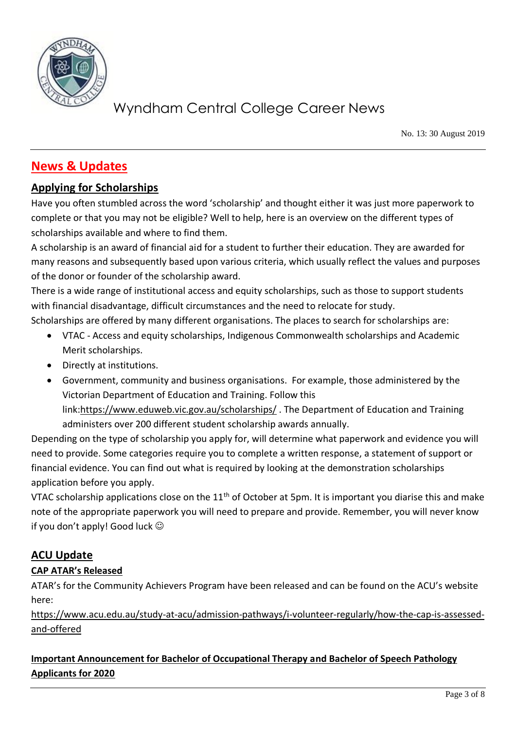

No. 13: 30 August 2019

## **News & Updates**

### **Applying for Scholarships**

Have you often stumbled across the word 'scholarship' and thought either it was just more paperwork to complete or that you may not be eligible? Well to help, here is an overview on the different types of scholarships available and where to find them.

A scholarship is an award of financial aid for a student to further their education. They are awarded for many reasons and subsequently based upon various criteria, which usually reflect the values and purposes of the donor or founder of the scholarship award.

There is a wide range of institutional access and equity scholarships, such as those to support students with financial disadvantage, difficult circumstances and the need to relocate for study.

Scholarships are offered by many different organisations. The places to search for scholarships are:

- VTAC Access and equity scholarships, Indigenous Commonwealth scholarships and Academic Merit scholarships.
- Directly at institutions.
- Government, community and business organisations. For example, those administered by the Victorian Department of Education and Training. Follow this link[:https://www.eduweb.vic.gov.au/scholarships/](https://www.eduweb.vic.gov.au/scholarships/) . The Department of Education and Training administers over 200 different student scholarship awards annually.

Depending on the type of scholarship you apply for, will determine what paperwork and evidence you will need to provide. Some categories require you to complete a written response, a statement of support or financial evidence. You can find out what is required by looking at the demonstration scholarships application before you apply.

VTAC scholarship applications close on the  $11<sup>th</sup>$  of October at 5pm. It is important you diarise this and make note of the appropriate paperwork you will need to prepare and provide. Remember, you will never know if you don't apply! Good luck  $\odot$ 

## **ACU Update**

### **CAP ATAR's Released**

ATAR's for the Community Achievers Program have been released and can be found on the ACU's website here:

[https://www.acu.edu.au/study-at-acu/admission-pathways/i-volunteer-regularly/how-the-cap-is-assessed](https://www.acu.edu.au/study-at-acu/admission-pathways/i-volunteer-regularly/how-the-cap-is-assessed-and-offered)[and-offered](https://www.acu.edu.au/study-at-acu/admission-pathways/i-volunteer-regularly/how-the-cap-is-assessed-and-offered)

### **Important Announcement for Bachelor of Occupational Therapy and Bachelor of Speech Pathology Applicants for 2020**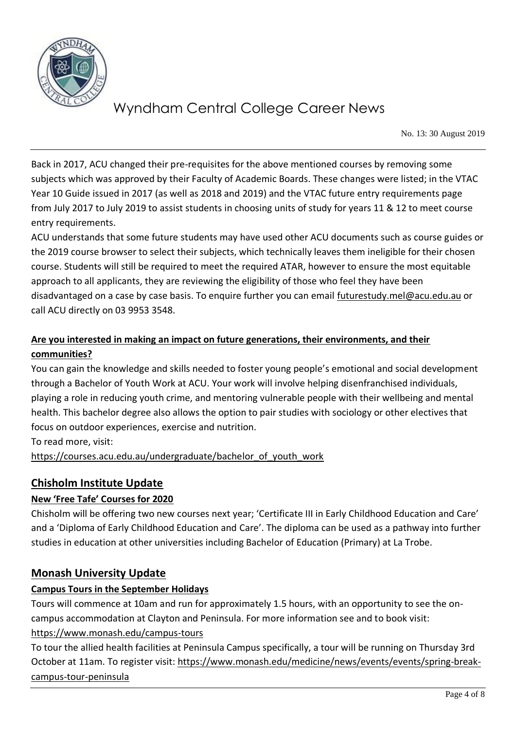

No. 13: 30 August 2019

Back in 2017, ACU changed their pre-requisites for the above mentioned courses by removing some subjects which was approved by their Faculty of Academic Boards. These changes were listed; in the VTAC Year 10 Guide issued in 2017 (as well as 2018 and 2019) and the VTAC future entry requirements page from July 2017 to July 2019 to assist students in choosing units of study for years 11 & 12 to meet course entry requirements.

ACU understands that some future students may have used other ACU documents such as course guides or the 2019 course browser to select their subjects, which technically leaves them ineligible for their chosen course. Students will still be required to meet the required ATAR, however to ensure the most equitable approach to all applicants, they are reviewing the eligibility of those who feel they have been disadvantaged on a case by case basis. To enquire further you can email [futurestudy.mel@acu.edu.au](mailto:futurestudy.mel@acu.edu.au) or call ACU directly on 03 9953 3548.

### **Are you interested in making an impact on future generations, their environments, and their communities?**

You can gain the knowledge and skills needed to foster young people's emotional and social development through a Bachelor of Youth Work at ACU. Your work will involve helping disenfranchised individuals, playing a role in reducing youth crime, and mentoring vulnerable people with their wellbeing and mental health. This bachelor degree also allows the option to pair studies with sociology or other electives that focus on outdoor experiences, exercise and nutrition.

To read more, visit: https://courses.acu.edu.au/undergraduate/bachelor\_of\_youth\_work

## **Chisholm Institute Update**

### **New 'Free Tafe' Courses for 2020**

Chisholm will be offering two new courses next year; 'Certificate III in Early Childhood Education and Care' and a 'Diploma of Early Childhood Education and Care'. The diploma can be used as a pathway into further studies in education at other universities including Bachelor of Education (Primary) at La Trobe.

### **Monash University Update**

#### **Campus Tours in the September Holidays**

Tours will commence at 10am and run for approximately 1.5 hours, with an opportunity to see the oncampus accommodation at Clayton and Peninsula. For more information see and to book visit:

#### <https://www.monash.edu/campus-tours>

To tour the allied health facilities at Peninsula Campus specifically, a tour will be running on Thursday 3rd October at 11am. To register visit: [https://www.monash.edu/medicine/news/events/events/spring-break](https://www.monash.edu/medicine/news/events/events/spring-break-campus-tour-peninsula)[campus-tour-peninsula](https://www.monash.edu/medicine/news/events/events/spring-break-campus-tour-peninsula)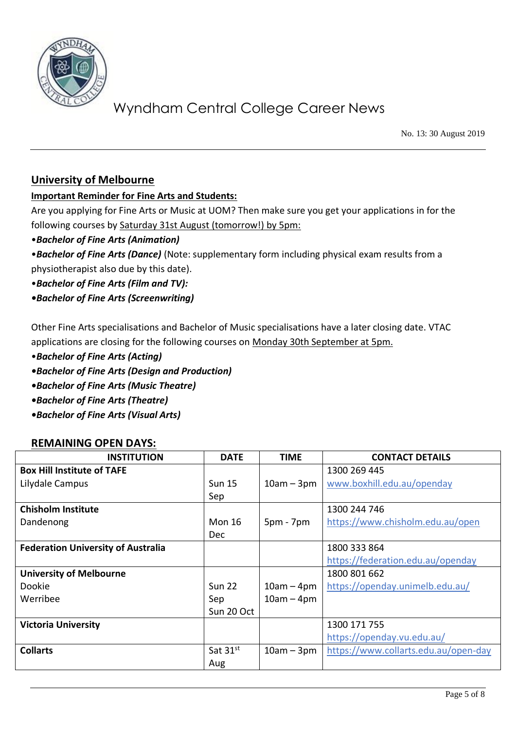

No. 13: 30 August 2019

#### **University of Melbourne**

#### **Important Reminder for Fine Arts and Students:**

Are you applying for Fine Arts or Music at UOM? Then make sure you get your applications in for the following courses by Saturday 31st August (tomorrow!) by 5pm:

•*Bachelor of Fine Arts (Animation)*

•*Bachelor of Fine Arts (Dance)* (Note: supplementary form including physical exam results from a physiotherapist also due by this date).

- •*Bachelor of Fine Arts (Film and TV):*
- *•Bachelor of Fine Arts (Screenwriting)*

Other Fine Arts specialisations and Bachelor of Music specialisations have a later closing date. VTAC applications are closing for the following courses on Monday 30th September at 5pm.

- •*Bachelor of Fine Arts (Acting)*
- *•Bachelor of Fine Arts (Design and Production)*
- *•Bachelor of Fine Arts (Music Theatre)*
- *•Bachelor of Fine Arts (Theatre)*
- *•Bachelor of Fine Arts (Visual Arts)*

#### **REMAINING OPEN DAYS:**

| <b>INSTITUTION</b>                        | <b>DATE</b>   | <b>TIME</b>  | <b>CONTACT DETAILS</b>               |
|-------------------------------------------|---------------|--------------|--------------------------------------|
| <b>Box Hill Institute of TAFE</b>         |               |              | 1300 269 445                         |
| Lilydale Campus                           | <b>Sun 15</b> | $10am - 3pm$ | www.boxhill.edu.au/openday           |
|                                           | Sep           |              |                                      |
| <b>Chisholm Institute</b>                 |               |              | 1300 244 746                         |
| Dandenong                                 | <b>Mon 16</b> | $5pm - 7pm$  | https://www.chisholm.edu.au/open     |
|                                           | <b>Dec</b>    |              |                                      |
| <b>Federation University of Australia</b> |               |              | 1800 333 864                         |
|                                           |               |              | https://federation.edu.au/openday    |
| <b>University of Melbourne</b>            |               |              | 1800 801 662                         |
| Dookie                                    | <b>Sun 22</b> | $10am - 4pm$ | https://openday.unimelb.edu.au/      |
| Werribee                                  | Sep           | $10am - 4pm$ |                                      |
|                                           | Sun 20 Oct    |              |                                      |
| <b>Victoria University</b>                |               |              | 1300 171 755                         |
|                                           |               |              | https://openday.vu.edu.au/           |
| <b>Collarts</b>                           | Sat $31^{st}$ | $10am - 3pm$ | https://www.collarts.edu.au/open-day |
|                                           | Aug           |              |                                      |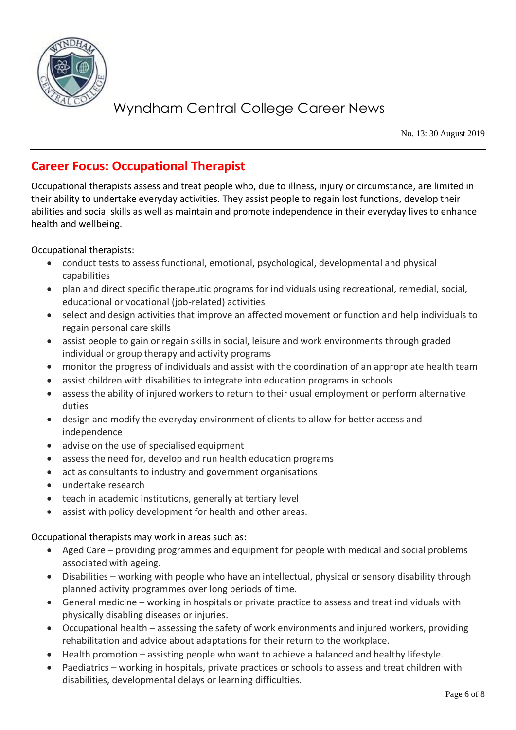

No. 13: 30 August 2019

## **Career Focus: Occupational Therapist**

Occupational therapists assess and treat people who, due to illness, injury or circumstance, are limited in their ability to undertake everyday activities. They assist people to regain lost functions, develop their abilities and social skills as well as maintain and promote independence in their everyday lives to enhance health and wellbeing.

Occupational therapists:

- conduct tests to assess functional, emotional, psychological, developmental and physical capabilities
- plan and direct specific therapeutic programs for individuals using recreational, remedial, social, educational or vocational (job-related) activities
- select and design activities that improve an affected movement or function and help individuals to regain personal care skills
- assist people to gain or regain skills in social, leisure and work environments through graded individual or group therapy and activity programs
- monitor the progress of individuals and assist with the coordination of an appropriate health team
- assist children with disabilities to integrate into education programs in schools
- assess the ability of injured workers to return to their usual employment or perform alternative duties
- design and modify the everyday environment of clients to allow for better access and independence
- advise on the use of specialised equipment
- assess the need for, develop and run health education programs
- act as consultants to industry and government organisations
- undertake research
- teach in academic institutions, generally at tertiary level
- assist with policy development for health and other areas.

Occupational therapists may work in areas such as:

- Aged Care providing programmes and equipment for people with medical and social problems associated with ageing.
- Disabilities working with people who have an intellectual, physical or sensory disability through planned activity programmes over long periods of time.
- General medicine working in hospitals or private practice to assess and treat individuals with physically disabling diseases or injuries.
- Occupational health assessing the safety of work environments and injured workers, providing rehabilitation and advice about adaptations for their return to the workplace.
- Health promotion assisting people who want to achieve a balanced and healthy lifestyle.
- Paediatrics working in hospitals, private practices or schools to assess and treat children with disabilities, developmental delays or learning difficulties.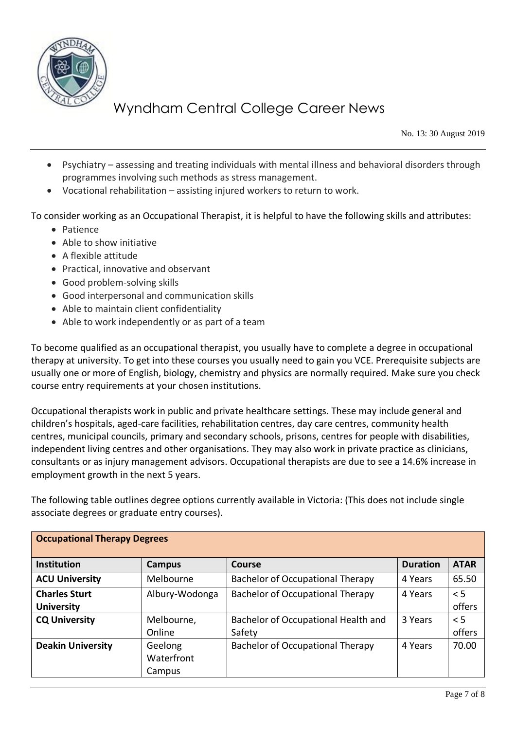

No. 13: 30 August 2019

- Psychiatry assessing and treating individuals with mental illness and behavioral disorders through programmes involving such methods as stress management.
- Vocational rehabilitation assisting injured workers to return to work.

To consider working as an Occupational Therapist, it is helpful to have the following skills and attributes:

- Patience
- Able to show initiative
- A flexible attitude
- Practical, innovative and observant
- Good problem-solving skills
- Good interpersonal and communication skills
- Able to maintain client confidentiality
- Able to work independently or as part of a team

To become qualified as an occupational therapist, you usually have to complete a degree in occupational therapy at university. To get into these courses you usually need to gain you VCE. Prerequisite subjects are usually one or more of English, biology, chemistry and physics are normally required. Make sure you check course entry requirements at your chosen institutions.

Occupational therapists work in public and private healthcare settings. These may include general and children's hospitals, aged-care facilities, rehabilitation centres, day care centres, community health centres, municipal councils, primary and secondary schools, prisons, centres for people with disabilities, independent living centres and other organisations. They may also work in private practice as clinicians, consultants or as injury management advisors. Occupational therapists are due to see a 14.6% increase in employment growth in the next 5 years.

The following table outlines degree options currently available in Victoria: (This does not include single associate degrees or graduate entry courses).

| <b>Occupational Therapy Degrees</b> |                |                                         |                 |             |  |  |  |
|-------------------------------------|----------------|-----------------------------------------|-----------------|-------------|--|--|--|
| <b>Institution</b>                  | <b>Campus</b>  | <b>Course</b>                           | <b>Duration</b> | <b>ATAR</b> |  |  |  |
| <b>ACU University</b>               | Melbourne      | <b>Bachelor of Occupational Therapy</b> | 4 Years         | 65.50       |  |  |  |
| <b>Charles Sturt</b>                | Albury-Wodonga | <b>Bachelor of Occupational Therapy</b> | 4 Years         | < 5         |  |  |  |
| <b>University</b>                   |                |                                         |                 | offers      |  |  |  |
| <b>CQ University</b>                | Melbourne,     | Bachelor of Occupational Health and     | 3 Years         | $\leq$ 5    |  |  |  |
|                                     | Online         | Safety                                  |                 | offers      |  |  |  |
| <b>Deakin University</b>            | Geelong        | <b>Bachelor of Occupational Therapy</b> | 4 Years         | 70.00       |  |  |  |
|                                     | Waterfront     |                                         |                 |             |  |  |  |
|                                     | Campus         |                                         |                 |             |  |  |  |